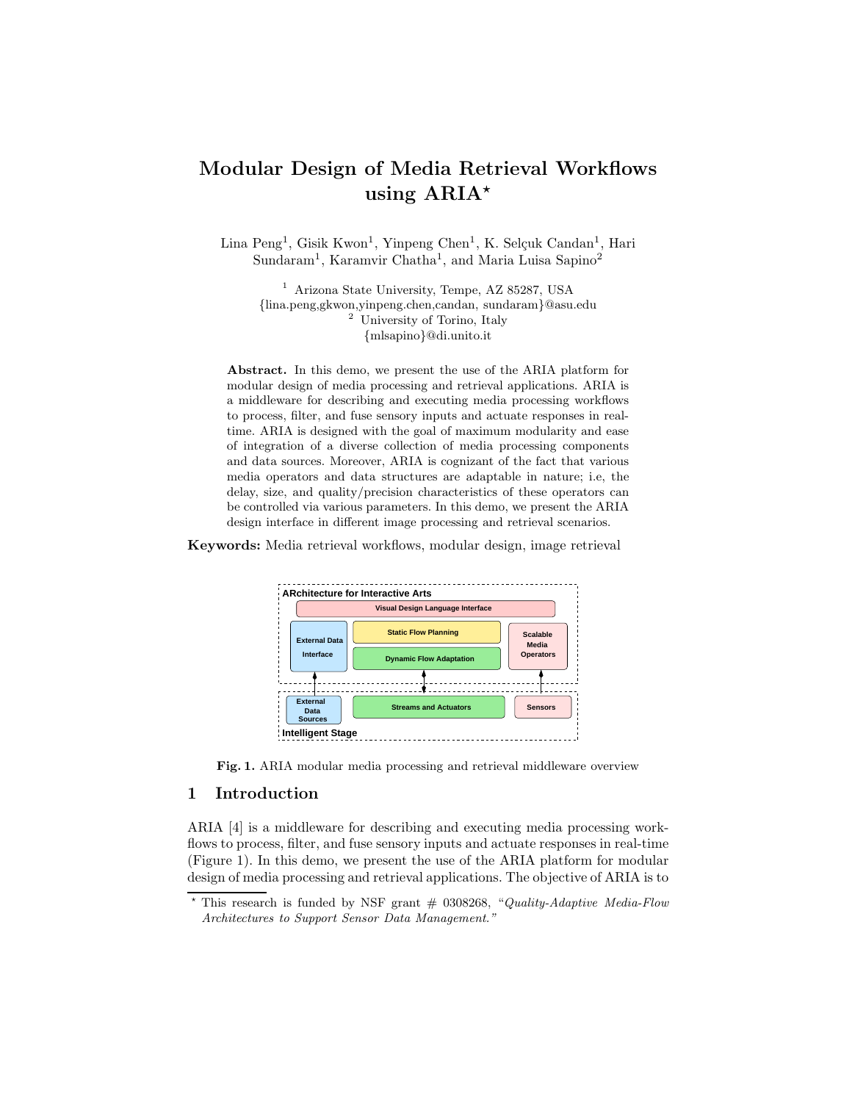# **Modular Design of Media Retrieval Workflows using ARIA***-*

Lina Peng<sup>1</sup>, Gisik Kwon<sup>1</sup>, Yinpeng Chen<sup>1</sup>, K. Selçuk Candan<sup>1</sup>, Hari Sundaram<sup>1</sup>, Karamvir Chatha<sup>1</sup>, and Maria Luisa Sapino<sup>2</sup>

<sup>1</sup> Arizona State University, Tempe, AZ 85287, USA *{*lina.peng,gkwon,yinpeng.chen,candan, sundaram*}*@asu.edu <sup>2</sup> University of Torino, Italy *{*mlsapino*}*@di.unito.it

**Abstract.** In this demo, we present the use of the ARIA platform for modular design of media processing and retrieval applications. ARIA is a middleware for describing and executing media processing workflows to process, filter, and fuse sensory inputs and actuate responses in realtime. ARIA is designed with the goal of maximum modularity and ease of integration of a diverse collection of media processing components and data sources. Moreover, ARIA is cognizant of the fact that various media operators and data structures are adaptable in nature; i.e, the delay, size, and quality/precision characteristics of these operators can be controlled via various parameters. In this demo, we present the ARIA design interface in different image processing and retrieval scenarios.

**Keywords:** Media retrieval workflows, modular design, image retrieval





#### **1 Introduction**

ARIA [4] is a middleware for describing and executing media processing workflows to process, filter, and fuse sensory inputs and actuate responses in real-time (Figure 1). In this demo, we present the use of the ARIA platform for modular design of media processing and retrieval applications. The objective of ARIA is to

<sup>\*</sup> This research is funded by NSF grant # 0308268, "*Quality-Adaptive Media-Flow Architectures to Support Sensor Data Management."*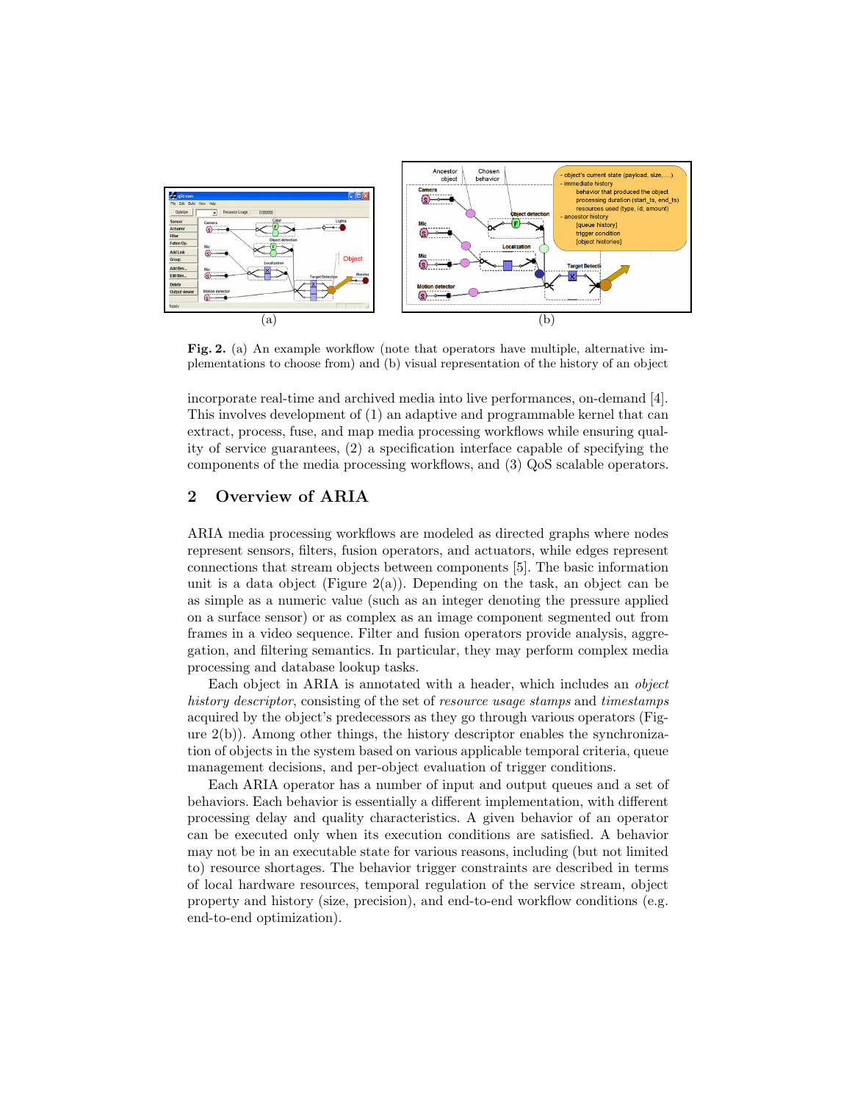

**Fig. 2.** (a) An example workflow (note that operators have multiple, alternative implementations to choose from) and (b) visual representation of the history of an object

incorporate real-time and archived media into live performances, on-demand [4]. This involves development of (1) an adaptive and programmable kernel that can extract, process, fuse, and map media processing workflows while ensuring quality of service guarantees, (2) a specification interface capable of specifying the components of the media processing workflows, and (3) QoS scalable operators.

## **2 Overview of ARIA**

ARIA media processing workflows are modeled as directed graphs where nodes represent sensors, filters, fusion operators, and actuators, while edges represent connections that stream objects between components [5]. The basic information unit is a data object (Figure 2(a)). Depending on the task, an object can be as simple as a numeric value (such as an integer denoting the pressure applied on a surface sensor) or as complex as an image component segmented out from frames in a video sequence. Filter and fusion operators provide analysis, aggregation, and filtering semantics. In particular, they may perform complex media processing and database lookup tasks.

Each object in ARIA is annotated with a header, which includes an *object history descriptor*, consisting of the set of *resource usage stamps* and *timestamps* acquired by the object's predecessors as they go through various operators (Figure  $2(b)$ ). Among other things, the history descriptor enables the synchronization of objects in the system based on various applicable temporal criteria, queue management decisions, and per-object evaluation of trigger conditions.

Each ARIA operator has a number of input and output queues and a set of behaviors. Each behavior is essentially a different implementation, with different processing delay and quality characteristics. A given behavior of an operator can be executed only when its execution conditions are satisfied. A behavior may not be in an executable state for various reasons, including (but not limited to) resource shortages. The behavior trigger constraints are described in terms of local hardware resources, temporal regulation of the service stream, object property and history (size, precision), and end-to-end workflow conditions (e.g. end-to-end optimization).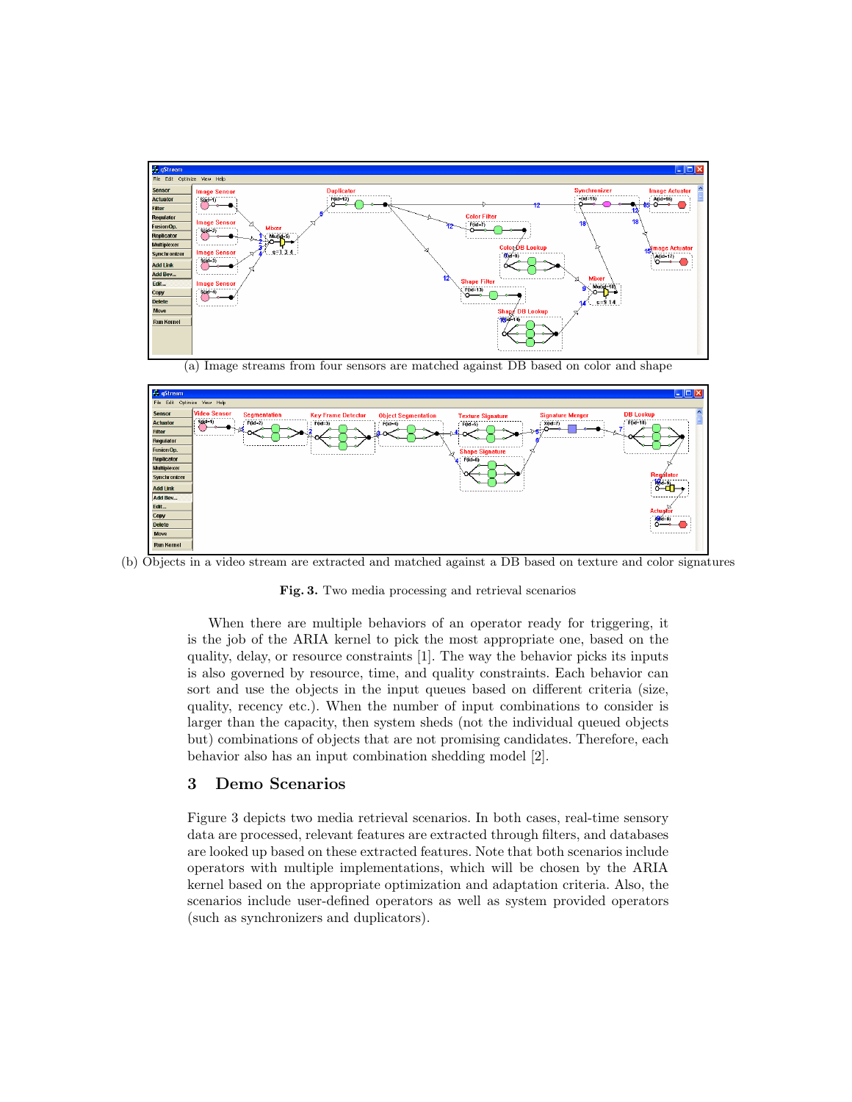

(a) Image streams from four sensors are matched against DB based on color and shape



(b) Objects in a video stream are extracted and matched against a DB based on texture and color signatures

**Fig. 3.** Two media processing and retrieval scenarios

When there are multiple behaviors of an operator ready for triggering, it is the job of the ARIA kernel to pick the most appropriate one, based on the quality, delay, or resource constraints [1]. The way the behavior picks its inputs is also governed by resource, time, and quality constraints. Each behavior can sort and use the objects in the input queues based on different criteria (size, quality, recency etc.). When the number of input combinations to consider is larger than the capacity, then system sheds (not the individual queued objects but) combinations of objects that are not promising candidates. Therefore, each behavior also has an input combination shedding model [2].

#### **3 Demo Scenarios**

Figure 3 depicts two media retrieval scenarios. In both cases, real-time sensory data are processed, relevant features are extracted through filters, and databases are looked up based on these extracted features. Note that both scenarios include operators with multiple implementations, which will be chosen by the ARIA kernel based on the appropriate optimization and adaptation criteria. Also, the scenarios include user-defined operators as well as system provided operators (such as synchronizers and duplicators).